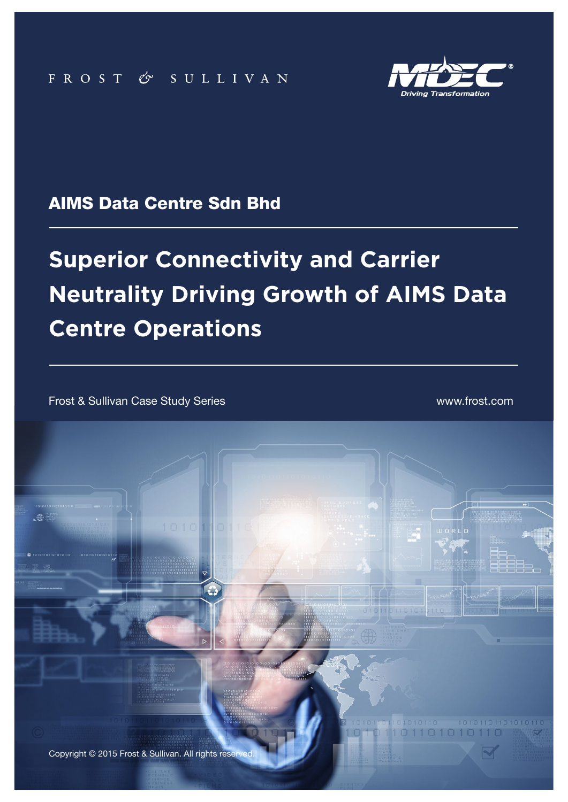

### AIMS Data Centre Sdn Bhd

# **Superior Connectivity and Carrier Neutrality Driving Growth of AIMS Data Centre Operations**

**1** Frost & Sullivan Case Study Series AIMS Data Centre Sdn Bhd

Frost & Sullivan Case Study Series www.frost.com

 $\mathbb{R}$ 

Copyright © 2015 Frost & Sullivan. All rights reserved.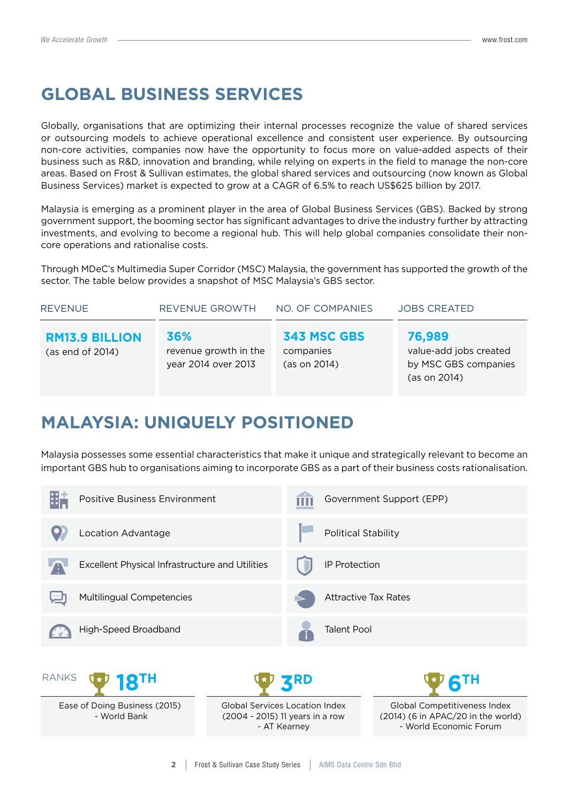## **GLOBAL BUSINESS SERVICES**

Globally, organisations that are optimizing their internal processes recognize the value of shared services or outsourcing models to achieve operational excellence and consistent user experience. By outsourcing non-core activities, companies now have the opportunity to focus more on value-added aspects of their business such as R&D, innovation and branding, while relying on experts in the field to manage the non-core areas. Based on Frost & Sullivan estimates, the global shared services and outsourcing (now known as Global Business Services) market is expected to grow at a CAGR of 6.5% to reach US\$625 billion by 2017.

Malaysia is emerging as a prominent player in the area of Global Business Services (GBS). Backed by strong government support, the booming sector has significant advantages to drive the industry further by attracting investments, and evolving to become a regional hub. This will help global companies consolidate their noncore operations and rationalise costs.

Through MDeC's Multimedia Super Corridor (MSC) Malaysia, the government has supported the growth of the sector. The table below provides a snapshot of MSC Malaysia's GBS sector.

| <b>REVENUE</b>                            | REVENUE GROWTH                                      | NO. OF COMPANIES                         | <b>JOBS CREATED</b>                                                      |  |
|-------------------------------------------|-----------------------------------------------------|------------------------------------------|--------------------------------------------------------------------------|--|
| <b>RM13.9 BILLION</b><br>(as end of 2014) | 36%<br>revenue growth in the<br>year 2014 over 2013 | 343 MSC GBS<br>companies<br>(as on 2014) | 76,989<br>value-add jobs created<br>by MSC GBS companies<br>(as on 2014) |  |

## **MALAYSIA: UNIQUELY POSITIONED**

Malaysia possesses some essential characteristics that make it unique and strategically relevant to become an important GBS hub to organisations aiming to incorporate GBS as a part of their business costs rationalisation.

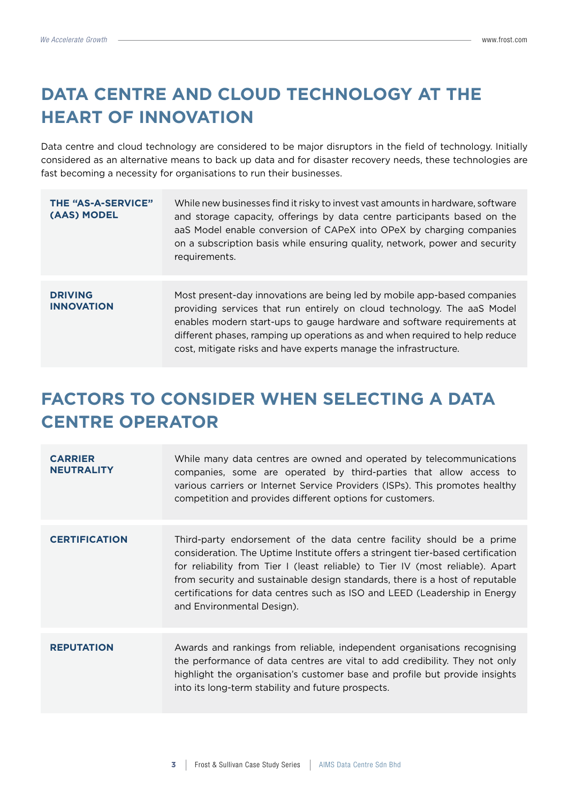## **DATA CENTRE AND CLOUD TECHNOLOGY AT THE HEART OF INNOVATION**

Data centre and cloud technology are considered to be major disruptors in the field of technology. Initially considered as an alternative means to back up data and for disaster recovery needs, these technologies are fast becoming a necessity for organisations to run their businesses.

| <b>THE "AS-A-SERVICE"</b><br>(AAS) MODEL | While new businesses find it risky to invest vast amounts in hardware, software<br>and storage capacity, offerings by data centre participants based on the<br>aaS Model enable conversion of CAPeX into OPeX by charging companies<br>on a subscription basis while ensuring quality, network, power and security<br>requirements.                                               |
|------------------------------------------|-----------------------------------------------------------------------------------------------------------------------------------------------------------------------------------------------------------------------------------------------------------------------------------------------------------------------------------------------------------------------------------|
| <b>DRIVING</b><br><b>INNOVATION</b>      | Most present-day innovations are being led by mobile app-based companies<br>providing services that run entirely on cloud technology. The aaS Model<br>enables modern start-ups to gauge hardware and software requirements at<br>different phases, ramping up operations as and when required to help reduce<br>cost, mitigate risks and have experts manage the infrastructure. |

## **FACTORS TO CONSIDER WHEN SELECTING A DATA CENTRE OPERATOR**

| <b>CARRIER</b><br><b>NEUTRALITY</b> | While many data centres are owned and operated by telecommunications<br>companies, some are operated by third-parties that allow access to<br>various carriers or Internet Service Providers (ISPs). This promotes healthy<br>competition and provides different options for customers.                                                                                                                                                |
|-------------------------------------|----------------------------------------------------------------------------------------------------------------------------------------------------------------------------------------------------------------------------------------------------------------------------------------------------------------------------------------------------------------------------------------------------------------------------------------|
| <b>CERTIFICATION</b>                | Third-party endorsement of the data centre facility should be a prime<br>consideration. The Uptime Institute offers a stringent tier-based certification<br>for reliability from Tier I (least reliable) to Tier IV (most reliable). Apart<br>from security and sustainable design standards, there is a host of reputable<br>certifications for data centres such as ISO and LEED (Leadership in Energy<br>and Environmental Design). |
| <b>REPUTATION</b>                   | Awards and rankings from reliable, independent organisations recognising<br>the performance of data centres are vital to add credibility. They not only<br>highlight the organisation's customer base and profile but provide insights<br>into its long-term stability and future prospects.                                                                                                                                           |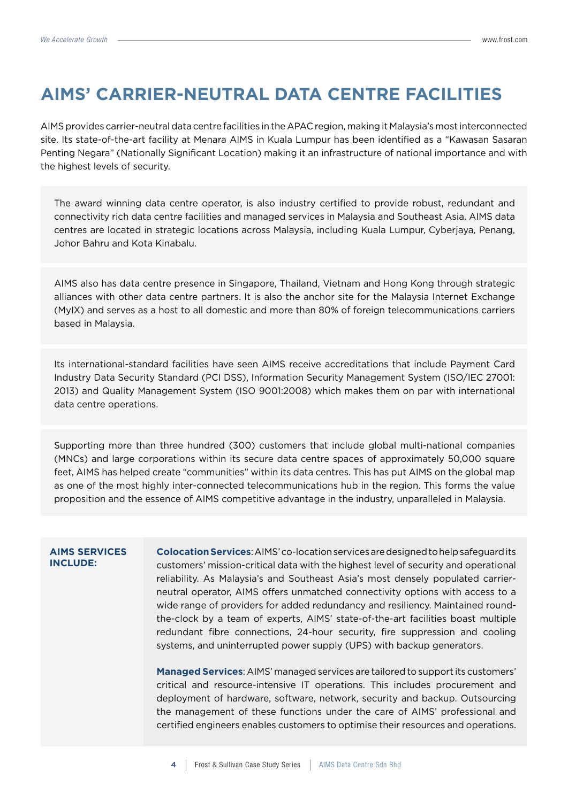## **AIMS' CARRIER-NEUTRAL DATA CENTRE FACILITIES**

AIMS provides carrier-neutral data centre facilities in the APAC region, making it Malaysia's most interconnected site. Its state-of-the-art facility at Menara AIMS in Kuala Lumpur has been identified as a "Kawasan Sasaran Penting Negara" (Nationally Significant Location) making it an infrastructure of national importance and with the highest levels of security.

The award winning data centre operator, is also industry certified to provide robust, redundant and connectivity rich data centre facilities and managed services in Malaysia and Southeast Asia. AIMS data centres are located in strategic locations across Malaysia, including Kuala Lumpur, Cyberjaya, Penang, Johor Bahru and Kota Kinabalu.

AIMS also has data centre presence in Singapore, Thailand, Vietnam and Hong Kong through strategic alliances with other data centre partners. It is also the anchor site for the Malaysia Internet Exchange (MyIX) and serves as a host to all domestic and more than 80% of foreign telecommunications carriers based in Malaysia.

Its international-standard facilities have seen AIMS receive accreditations that include Payment Card Industry Data Security Standard (PCI DSS), Information Security Management System (ISO/IEC 27001: 2013) and Quality Management System (ISO 9001:2008) which makes them on par with international data centre operations.

Supporting more than three hundred (300) customers that include global multi-national companies (MNCs) and large corporations within its secure data centre spaces of approximately 50,000 square feet, AIMS has helped create "communities" within its data centres. This has put AIMS on the global map as one of the most highly inter-connected telecommunications hub in the region. This forms the value proposition and the essence of AIMS competitive advantage in the industry, unparalleled in Malaysia.

#### **AIMS SERVICES INCLUDE:**

**Colocation Services**: AIMS' co-location services are designed to help safeguard its customers' mission-critical data with the highest level of security and operational reliability. As Malaysia's and Southeast Asia's most densely populated carrierneutral operator, AIMS offers unmatched connectivity options with access to a wide range of providers for added redundancy and resiliency. Maintained roundthe-clock by a team of experts, AIMS' state-of-the-art facilities boast multiple redundant fibre connections, 24-hour security, fire suppression and cooling systems, and uninterrupted power supply (UPS) with backup generators.

**Managed Services**: AIMS' managed services are tailored to support its customers' critical and resource-intensive IT operations. This includes procurement and deployment of hardware, software, network, security and backup. Outsourcing the management of these functions under the care of AIMS' professional and certified engineers enables customers to optimise their resources and operations.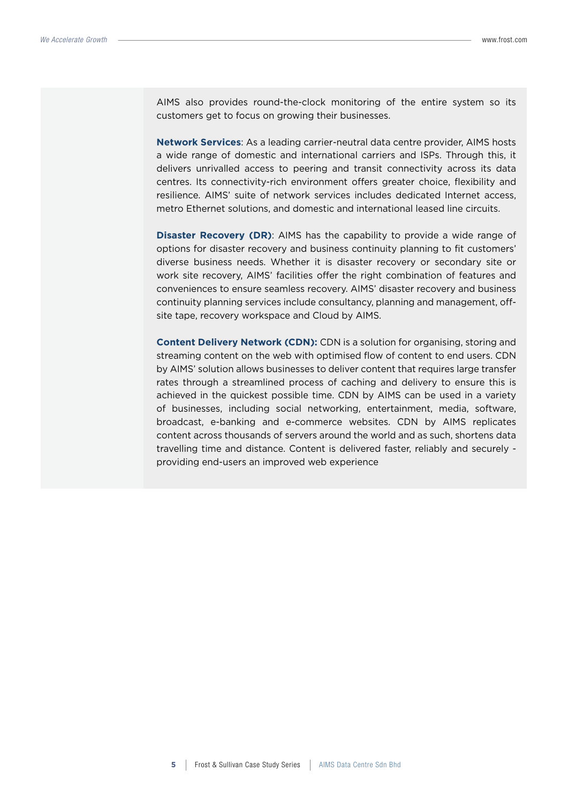AIMS also provides round-the-clock monitoring of the entire system so its customers get to focus on growing their businesses.

**Network Services**: As a leading carrier-neutral data centre provider, AIMS hosts a wide range of domestic and international carriers and ISPs. Through this, it delivers unrivalled access to peering and transit connectivity across its data centres. Its connectivity-rich environment offers greater choice, flexibility and resilience. AIMS' suite of network services includes dedicated Internet access, metro Ethernet solutions, and domestic and international leased line circuits.

**Disaster Recovery (DR)**: AIMS has the capability to provide a wide range of options for disaster recovery and business continuity planning to fit customers' diverse business needs. Whether it is disaster recovery or secondary site or work site recovery, AIMS' facilities offer the right combination of features and conveniences to ensure seamless recovery. AIMS' disaster recovery and business continuity planning services include consultancy, planning and management, offsite tape, recovery workspace and Cloud by AIMS.

**Content Delivery Network (CDN): CDN is a solution for organising, storing and** streaming content on the web with optimised flow of content to end users. CDN by AIMS' solution allows businesses to deliver content that requires large transfer rates through a streamlined process of caching and delivery to ensure this is achieved in the quickest possible time. CDN by AIMS can be used in a variety of businesses, including social networking, entertainment, media, software, broadcast, e-banking and e-commerce websites. CDN by AIMS replicates content across thousands of servers around the world and as such, shortens data travelling time and distance. Content is delivered faster, reliably and securely providing end-users an improved web experience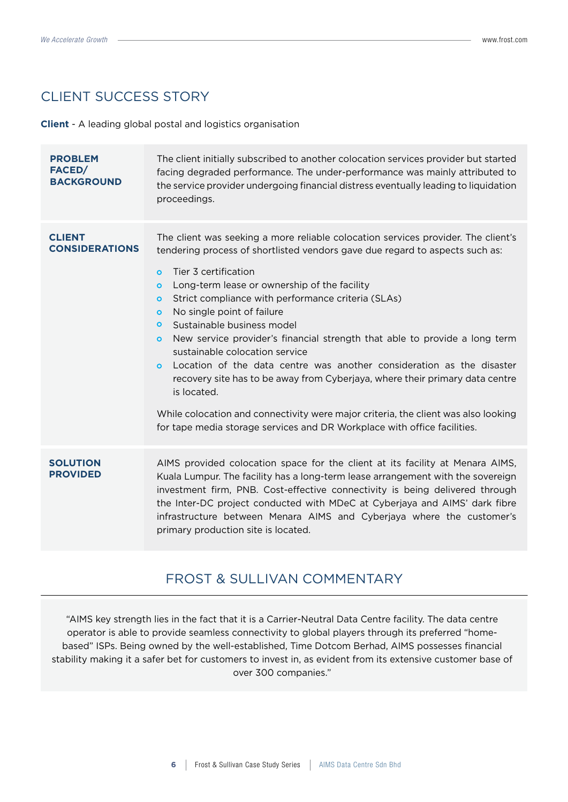### CLIENT SUCCESS STORY

**Client** - A leading global postal and logistics organisation

| <b>PROBLEM</b><br>FACED/<br><b>BACKGROUND</b> | The client initially subscribed to another colocation services provider but started<br>facing degraded performance. The under-performance was mainly attributed to<br>the service provider undergoing financial distress eventually leading to liquidation<br>proceedings.                                                                                                                                                                                                                                                                                                                                                                                                                                                                                                                                                                                                                                    |
|-----------------------------------------------|---------------------------------------------------------------------------------------------------------------------------------------------------------------------------------------------------------------------------------------------------------------------------------------------------------------------------------------------------------------------------------------------------------------------------------------------------------------------------------------------------------------------------------------------------------------------------------------------------------------------------------------------------------------------------------------------------------------------------------------------------------------------------------------------------------------------------------------------------------------------------------------------------------------|
| <b>CLIENT</b><br><b>CONSIDERATIONS</b>        | The client was seeking a more reliable colocation services provider. The client's<br>tendering process of shortlisted vendors gave due regard to aspects such as:<br>Tier 3 certification<br>$\overline{O}$<br>Long-term lease or ownership of the facility<br>$\circ$<br>Strict compliance with performance criteria (SLAs)<br>$\circ$<br>No single point of failure<br>$\circ$<br>Sustainable business model<br>$\circ$<br>New service provider's financial strength that able to provide a long term<br>$\bullet$<br>sustainable colocation service<br>Location of the data centre was another consideration as the disaster<br>$\bullet$<br>recovery site has to be away from Cyberjaya, where their primary data centre<br>is located.<br>While colocation and connectivity were major criteria, the client was also looking<br>for tape media storage services and DR Workplace with office facilities. |
| <b>SOLUTION</b><br><b>PROVIDED</b>            | AIMS provided colocation space for the client at its facility at Menara AIMS,<br>Kuala Lumpur. The facility has a long-term lease arrangement with the sovereign<br>investment firm, PNB. Cost-effective connectivity is being delivered through<br>the Inter-DC project conducted with MDeC at Cyberjaya and AIMS' dark fibre<br>infrastructure between Menara AIMS and Cyberjaya where the customer's<br>primary production site is located.                                                                                                                                                                                                                                                                                                                                                                                                                                                                |

### FROST & SULLIVAN COMMENTARY

"AIMS key strength lies in the fact that it is a Carrier-Neutral Data Centre facility. The data centre operator is able to provide seamless connectivity to global players through its preferred "homebased" ISPs. Being owned by the well-established, Time Dotcom Berhad, AIMS possesses financial stability making it a safer bet for customers to invest in, as evident from its extensive customer base of over 300 companies."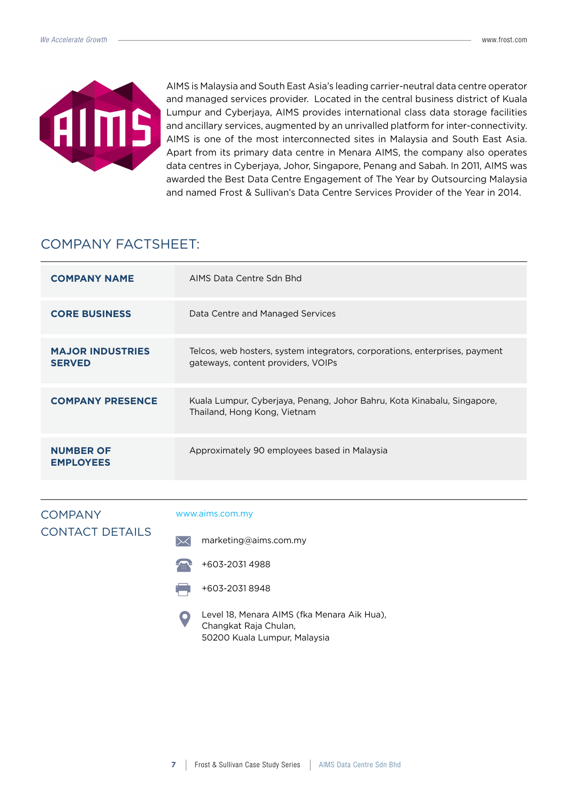

AIMS is Malaysia and South East Asia's leading carrier-neutral data centre operator and managed services provider. Located in the central business district of Kuala Lumpur and Cyberjaya, AIMS provides international class data storage facilities and ancillary services, augmented by an unrivalled platform for inter-connectivity. AIMS is one of the most interconnected sites in Malaysia and South East Asia. Apart from its primary data centre in Menara AIMS, the company also operates data centres in Cyberjaya, Johor, Singapore, Penang and Sabah. In 2011, AIMS was awarded the Best Data Centre Engagement of The Year by Outsourcing Malaysia and named Frost & Sullivan's Data Centre Services Provider of the Year in 2014.

### COMPANY FACTSHEET:

| <b>COMPANY NAME</b>                      | AIMS Data Centre Sdn Bhd                                                                                          |
|------------------------------------------|-------------------------------------------------------------------------------------------------------------------|
| <b>CORE BUSINESS</b>                     | Data Centre and Managed Services                                                                                  |
| <b>MAJOR INDUSTRIES</b><br><b>SERVED</b> | Telcos, web hosters, system integrators, corporations, enterprises, payment<br>gateways, content providers, VOIPs |
| <b>COMPANY PRESENCE</b>                  | Kuala Lumpur, Cyberjaya, Penang, Johor Bahru, Kota Kinabalu, Singapore,<br>Thailand, Hong Kong, Vietnam           |
| <b>NUMBER OF</b><br><b>EMPLOYEES</b>     | Approximately 90 employees based in Malaysia                                                                      |

### **COMPANY** CONTACT DETAILS

#### www.aims.com.my

- $\searrow$ marketing@aims.com.my
- +603-2031 4988
- +603-2031 8948
- Level 18, Menara AIMS (fka Menara Aik Hua), Changkat Raja Chulan, 50200 Kuala Lumpur, Malaysia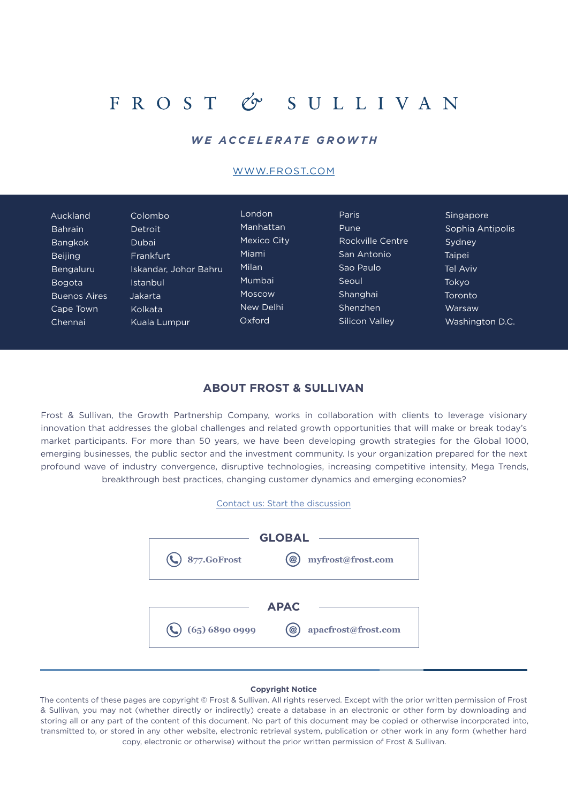## FROST & SULLIVAN

### *WE ACCELERATE GROWTH*

#### [WWW.FROST.COM](http://www.frost.com)

| Auckland            | Colombo               | London      | <b>Paris</b>     | Singapore        |
|---------------------|-----------------------|-------------|------------------|------------------|
| <b>Bahrain</b>      | Detroit               | Manhattan   | Pune             | Sophia Antipolis |
| <b>Bangkok</b>      | Dubai                 | Mexico City | Rockville Centre | Sydney           |
| <b>Beijing</b>      | Frankfurt             | Miami       | San Antonio      | Taipei           |
| <b>Bengaluru</b>    | Iskandar, Johor Bahru | Milan       | Sao Paulo        | Tel Aviv         |
| <b>Bogota</b>       | Istanbul              | Mumbai      | Seoul            | Tokyo            |
| <b>Buenos Aires</b> | Jakarta               | Moscow      | Shanghai         | Toronto          |
| Cape Town           | Kolkata               | New Delhi   | Shenzhen         | Warsaw           |
| Chennai             | Kuala Lumpur          | Oxford      | Silicon Valley   | Washington D.C.  |

#### **ABOUT FROST & SULLIVAN**

Frost & Sullivan, the Growth Partnership Company, works in collaboration with clients to leverage visionary innovation that addresses the global challenges and related growth opportunities that will make or break today's market participants. For more than 50 years, we have been developing growth strategies for the Global 1000, emerging businesses, the public sector and the investment community. Is your organization prepared for the next profound wave of industry convergence, disruptive technologies, increasing competitive intensity, Mega Trends, breakthrough best practices, changing customer dynamics and emerging economies?





#### **Copyright Notice**

The contents of these pages are copyright © Frost & Sullivan. All rights reserved. Except with the prior written permission of Frost & Sullivan, you may not (whether directly or indirectly) create a database in an electronic or other form by downloading and storing all or any part of the content of this document. No part of this document may be copied or otherwise incorporated into, transmitted to, or stored in any other website, electronic retrieval system, publication or other work in any form (whether hard copy, electronic or otherwise) without the prior written permission of Frost & Sullivan.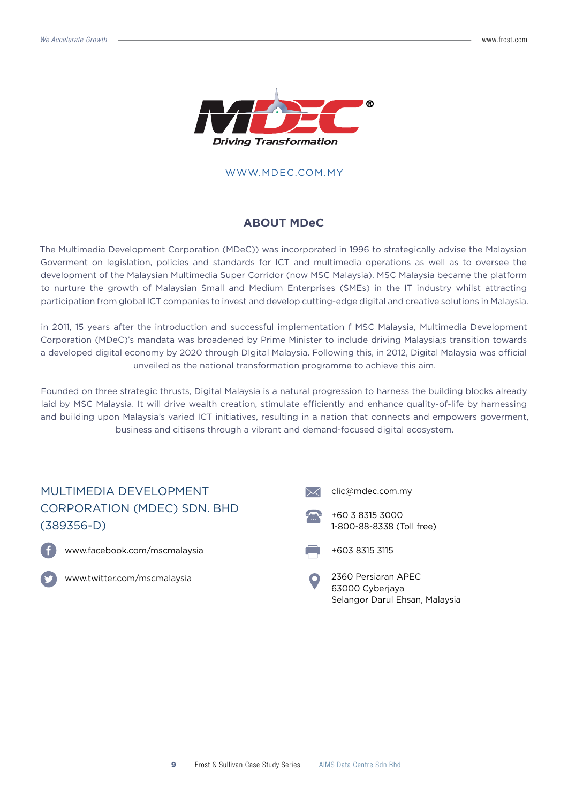

#### [WWW.MDEC.COM](http://www.frost.com).MY

### **ABOUT MDeC**

The Multimedia Development Corporation (MDeC)) was incorporated in 1996 to strategically advise the Malaysian Goverment on legislation, policies and standards for ICT and multimedia operations as well as to oversee the development of the Malaysian Multimedia Super Corridor (now MSC Malaysia). MSC Malaysia became the platform to nurture the growth of Malaysian Small and Medium Enterprises (SMEs) in the IT industry whilst attracting participation from global ICT companies to invest and develop cutting-edge digital and creative solutions in Malaysia.

in 2011, 15 years after the introduction and successful implementation f MSC Malaysia, Multimedia Development Corporation (MDeC)'s mandata was broadened by Prime Minister to include driving Malaysia;s transition towards a developed digital economy by 2020 through DIgital Malaysia. Following this, in 2012, Digital Malaysia was official unveiled as the national transformation programme to achieve this aim.

Founded on three strategic thrusts, Digital Malaysia is a natural progression to harness the building blocks already laid by MSC Malaysia. It will drive wealth creation, stimulate efficiently and enhance quality-of-life by harnessing and building upon Malaysia's varied ICT initiatives, resulting in a nation that connects and empowers goverment, business and citisens through a vibrant and demand-focused digital ecosystem.

### MULTIMEDIA DEVELOPMENT CORPORATION (MDEC) SDN. BHD (389356-D)



www.facebook.com/mscmalaysia



www.twitter.com/mscmalaysia







2360 Persiaran APEC 63000 Cyberjaya Selangor Darul Ehsan, Malaysia